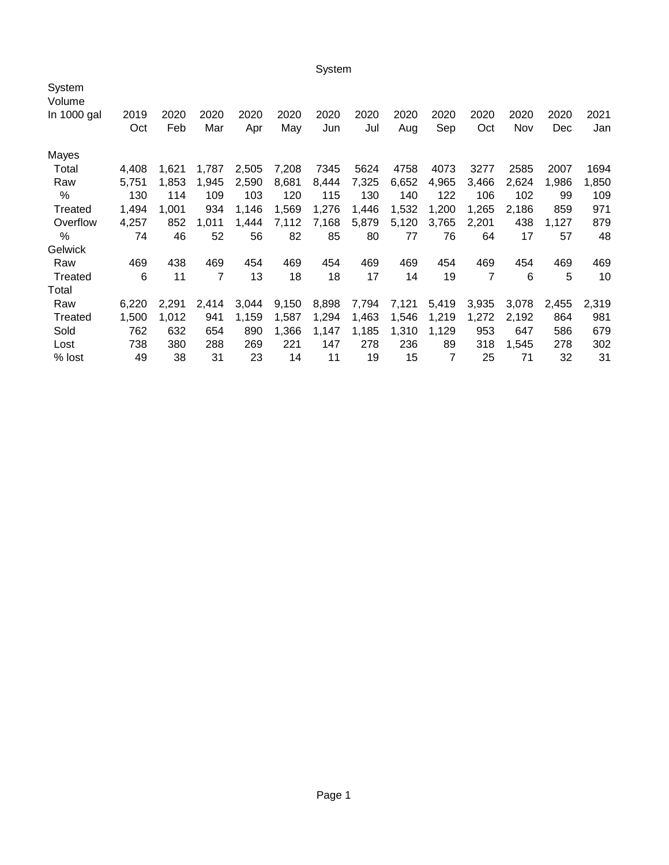System

| System<br>Volume<br>In 1000 gal | 2019<br>Oct | 2020<br>Feb | 2020<br>Mar | 2020<br>Apr | 2020<br>May | 2020<br>Jun | 2020<br>Jul | 2020<br>Aug | 2020<br>Sep | 2020<br>Oct    | 2020<br>Nov | 2020<br><b>Dec</b> | 2021<br>Jan |
|---------------------------------|-------------|-------------|-------------|-------------|-------------|-------------|-------------|-------------|-------------|----------------|-------------|--------------------|-------------|
| Mayes                           |             |             |             |             |             |             |             |             |             |                |             |                    |             |
| Total                           | 4,408       | 1,621       | 1,787       | 2,505       | 7,208       | 7345        | 5624        | 4758        | 4073        | 3277           | 2585        | 2007               | 1694        |
| Raw                             | 5,751       | 1,853       | 1,945       | 2,590       | 8,681       | 8,444       | 7,325       | 6,652       | 4,965       | 3,466          | 2,624       | 1,986              | 1,850       |
| %                               | 130         | 114         | 109         | 103         | 120         | 115         | 130         | 140         | 122         | 106            | 102         | 99                 | 109         |
| Treated                         | 1,494       | 1.001       | 934         | 1,146       | 1,569       | 1,276       | 1,446       | 1,532       | 1,200       | 1,265          | 2.186       | 859                | 971         |
| Overflow                        | 4,257       | 852         | 1,011       | 1,444       | 7,112       | 7,168       | 5,879       | 5,120       | 3,765       | 2,201          | 438         | 1,127              | 879         |
| %                               | 74          | 46          | 52          | 56          | 82          | 85          | 80          | 77          | 76          | 64             | 17          | 57                 | 48          |
| <b>Gelwick</b>                  |             |             |             |             |             |             |             |             |             |                |             |                    |             |
| Raw                             | 469         | 438         | 469         | 454         | 469         | 454         | 469         | 469         | 454         | 469            | 454         | 469                | 469         |
| Treated                         | 6           | 11          | 7           | 13          | 18          | 18          | 17          | 14          | 19          | $\overline{7}$ | 6           | 5                  | 10          |
| Total                           |             |             |             |             |             |             |             |             |             |                |             |                    |             |
| Raw                             | 6,220       | 2,291       | 2,414       | 3,044       | 9,150       | 8,898       | 7,794       | 7,121       | 5,419       | 3,935          | 3,078       | 2,455              | 2,319       |
| Treated                         | 1,500       | 1,012       | 941         | 1,159       | 1,587       | 1,294       | 1,463       | 1,546       | 1,219       | 1,272          | 2,192       | 864                | 981         |
| Sold                            | 762         | 632         | 654         | 890         | 1,366       | 1,147       | 1,185       | 1,310       | 1,129       | 953            | 647         | 586                | 679         |
| Lost                            | 738         | 380         | 288         | 269         | 221         | 147         | 278         | 236         | 89          | 318            | 1,545       | 278                | 302         |
| % lost                          | 49          | 38          | 31          | 23          | 14          | 11          | 19          | 15          | 7           | 25             | 71          | 32                 | 31          |